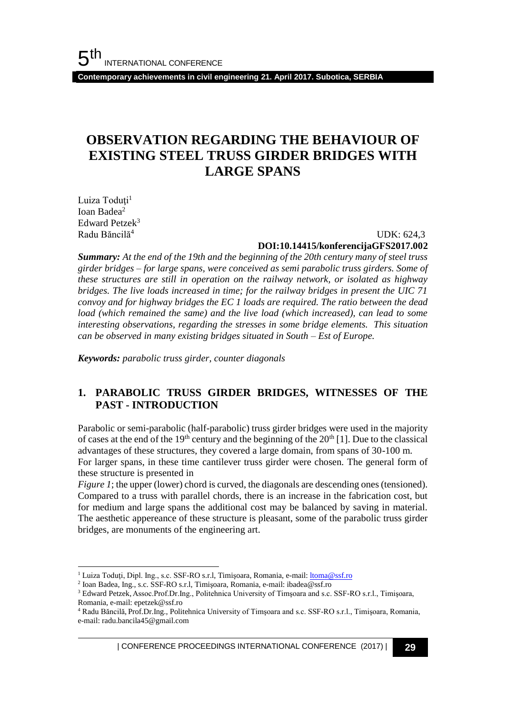**Contemporary achievements in civil engineering 21. April 2017. Subotica, SERBIA**

# **OBSERVATION REGARDING THE BEHAVIOUR OF EXISTING STEEL TRUSS GIRDER BRIDGES WITH LARGE SPANS**

Luiza Toduți<sup>1</sup> Ioan Badea<sup>2</sup> Edward Petzek<sup>3</sup> Radu Băncilă<sup>4</sup>

l

#### UDK: 624,3 **DOI:10.14415/konferencijaGFS2017.002**

*Summary: At the end of the 19th and the beginning of the 20th century many of steel truss girder bridges – for large spans, were conceived as semi parabolic truss girders. Some of these structures are still in operation on the railway network, or isolated as highway bridges. The live loads increased in time; for the railway bridges in present the UIC 71 convoy and for highway bridges the EC 1 loads are required. The ratio between the dead load (which remained the same) and the live load (which increased), can lead to some interesting observations, regarding the stresses in some bridge elements. This situation can be observed in many existing bridges situated in South – Est of Europe.*

*Keywords: parabolic truss girder, counter diagonals*

### **1. PARABOLIC TRUSS GIRDER BRIDGES, WITNESSES OF THE PAST - INTRODUCTION**

Parabolic or semi-parabolic (half-parabolic) truss girder bridges were used in the majority of cases at the end of the 19<sup>th</sup> century and the beginning of the  $20<sup>th</sup>$  [1]. Due to the classical advantages of these structures, they covered a large domain, from spans of 30-100 m. For larger spans, in these ti[me cantilever truss girder were chosen. The general form of](#page-1-0)  these structure is presented in

*[Figure 1](#page-1-0)*; the upper (lower) chord is curved, the diagonals are descending ones (tensioned). Compared to a truss with parallel chords, there is an increase in the fabrication cost, but for medium and large spans the additional cost may be balanced by saving in material. The aesthetic appereance of these structure is pleasant, some of the parabolic truss girder bridges, are monuments of the engineering art.

<sup>&</sup>lt;sup>1</sup> Luiza Toduți, Dipl. Ing., s.c. SSF-RO s.r.l, Timișoara, Romania, e-mail[: ltoma@ssf.ro](mailto:ltoma@ssf.ro)

<sup>2</sup> Ioan Badea, Ing., s.c. SSF-RO s.r.l, Timişoara, Romania, e-mail: ibadea@ssf.ro

<sup>&</sup>lt;sup>3</sup> Edward Petzek, Assoc.Prof.Dr.Ing., Politehnica University of Timșoara and s.c. SSF-RO s.r.l., Timișoara, Romania, e-mail: epetzek@ssf.ro

<sup>4</sup> Radu Băncilă, Prof.Dr.Ing., Politehnica University of Timşoara and s.c. SSF-RO s.r.l., Timişoara, Romania, e-mail: radu.bancila45@gmail.com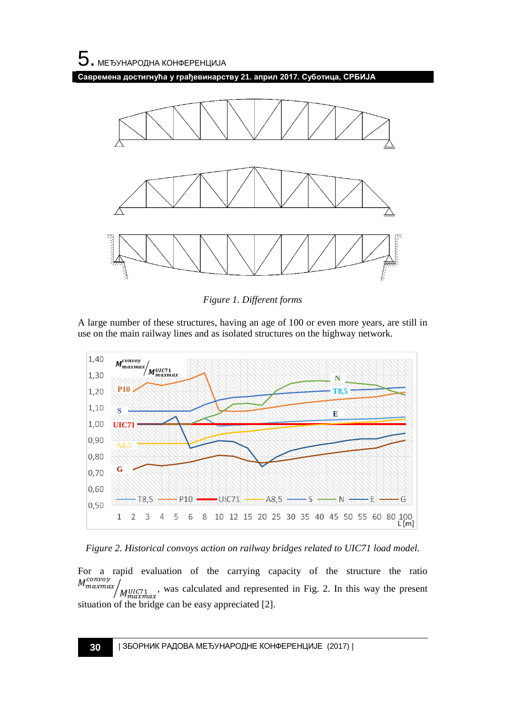**Савремена достигнућа у грађевинарству 21. април 2017. Суботица, СРБИЈА**



*Figure 1. Different forms*

<span id="page-1-0"></span>A large number of these structures, having an age of 100 or even more years, are still in use on the main railway lines and as isolated structures on the highway network.



*Figure 2. Historical convoys action on railway bridges related to UIC71 load model.*

For a rapid evaluation of the carrying capacity of the structure the ratio  $M_{maxmax}^{convoy}$  $\sqrt{\frac{M U I C 71}{M_{maxmax}}}$ , was calculated and represented in Fig. 2. In this way the present situation of the bridge can be easy appreciated [2].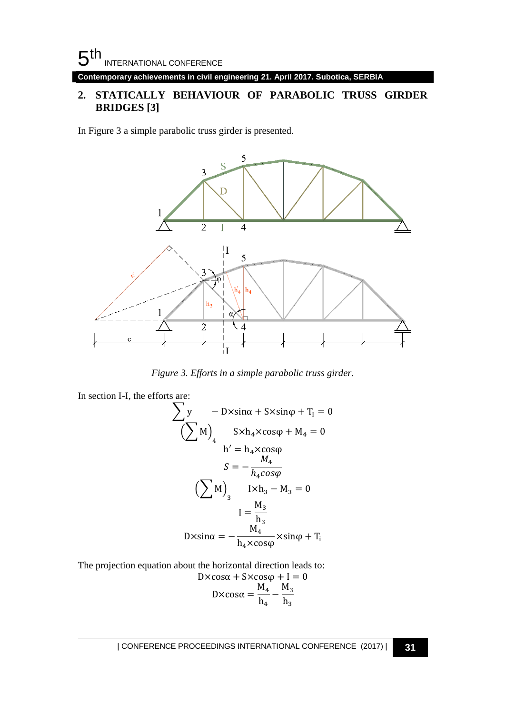**Contemporary achievements in civil engineering 21. April 2017. Subotica, SERBIA**

#### **2. STATICALLY BEHAVIOUR OF PARABOLIC TRUSS GIRDER BRIDGES [3]**

In Figure 3 a simple parabolic truss girder is presented.



*Figure 3. Efforts in a simple parabolic truss girder.*

In section I-I, the efforts are:  
\n
$$
\sum y - D \times \sin \alpha + S \times \sin \varphi + T_I = 0
$$
\n
$$
\left(\sum M\right)_4 \quad S \times h_4 \times \cos \varphi + M_4 = 0
$$
\n
$$
h' = h_4 \times \cos \varphi
$$
\n
$$
S = -\frac{M_4}{h_4 \cos \varphi}
$$
\n
$$
\left(\sum M\right)_3 \quad I \times h_3 - M_3 = 0
$$
\n
$$
I = \frac{M_3}{h_3}
$$
\n
$$
D \times \sin \alpha = -\frac{M_4}{h_4 \times \cos \varphi} \times \sin \varphi + T_I
$$

The projection equation about the horizontal direction leads to:

$$
D \times \cos \alpha + S \times \cos \varphi + I = 0
$$
  

$$
D \times \cos \alpha = \frac{M_4}{h_4} - \frac{M_3}{h_3}
$$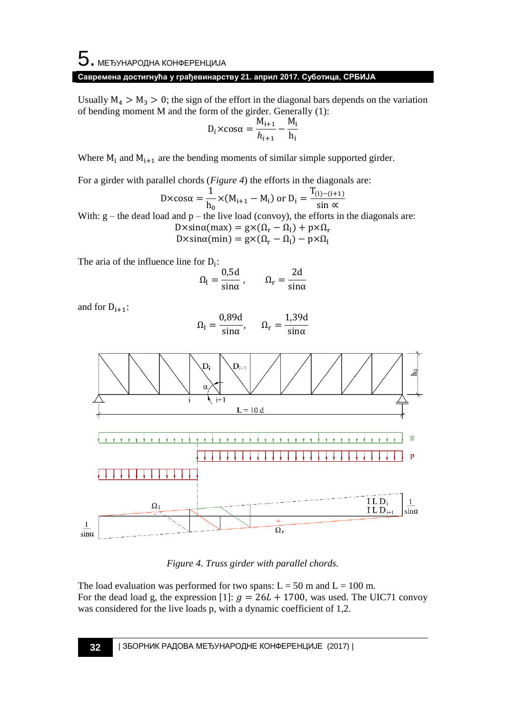### **Савремена достигнућа у грађевинарству 21. април 2017. Суботица, СРБИЈА**

Usually  $M_4 > M_3 > 0$ ; the sign of the effort in the diagonal bars depends on the variation of bending moment M and the form of the girder. Generally (1):

$$
D_i \times \cos \alpha = \frac{M_{i+1}}{h_{i+1}} - \frac{M_i}{h_i}
$$

Where  $M_i$  and  $M_{i+1}$  are the bending moments of similar simple supported girder.

For a girder with parallel chords (*[Figure 4](#page-3-0)*) the efforts in the diagonals are:

$$
D \times \cos \alpha = \frac{1}{h_0} \times (M_{i+1} - M_i) \text{ or } D_i = \frac{T_{(i)-(i+1)}}{\sin \alpha}
$$

With:  $g$  – the dead load and  $p$  – the live load (convoy), the efforts in the diagonals are:

$$
D \times \sin \alpha (max) = g \times (\Omega_r - \Omega_l) + p \times \Omega_r
$$
  

$$
D \times \sin \alpha (min) = g \times (\Omega_r - \Omega_l) - p \times \Omega_l
$$

The aria of the influence line for  $D_i$ :

$$
\Omega_{\rm l} = \frac{0.5d}{\sin \alpha} \,, \qquad \Omega_{\rm r} = \frac{2d}{\sin \alpha}
$$

and for  $D_{i+1}$ :

$$
\Omega_{\rm l} = \frac{0.89d}{\sin \alpha}, \qquad \Omega_{\rm r} = \frac{1.39d}{\sin \alpha}
$$



*Figure 4. Truss girder with parallel chords.*

<span id="page-3-0"></span>The load evaluation was performed for two spans:  $L = 50$  m and  $L = 100$  m. For the dead load g, the expression [1]:  $g = 26L + 1700$ , was used. The UIC71 convoy was considered for the live loads p, with a dynamic coefficient of 1,2.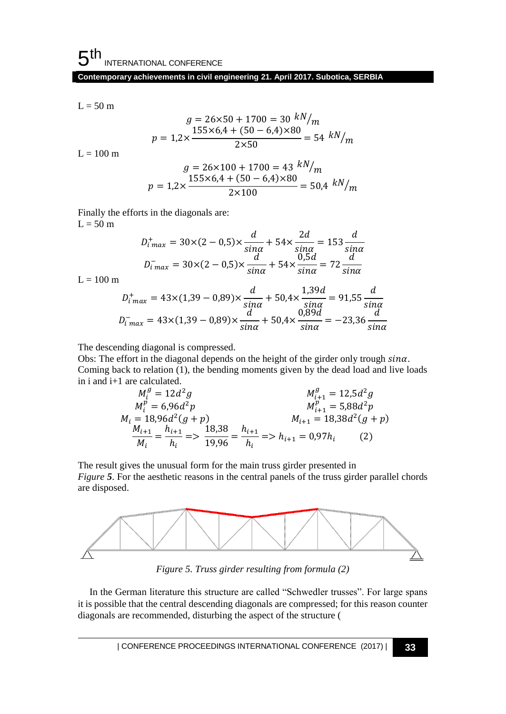$$
L=50\;m
$$

$$
g = 26 \times 50 + 1700 = 30 \frac{kN}{m}
$$

$$
p = 1,2 \times \frac{155 \times 6,4 + (50 - 6,4) \times 80}{2 \times 50} = 54 \frac{kN}{m}
$$

 $L = 100$  m

$$
g = 26 \times 100 + 1700 = 43 \frac{kN}{m}
$$

$$
p = 1,2 \times \frac{155 \times 6.4 + (50 - 6.4) \times 80}{2 \times 100} = 50.4 \frac{kN}{m}
$$

Finally the efforts in the diagonals are:  $L = 50$  m

$$
D_{i\max}^{+} = 30 \times (2 - 0.5) \times \frac{d}{\sin \alpha} + 54 \times \frac{2d}{\sin \alpha} = 153 \frac{d}{\sin \alpha}
$$

$$
D_{i\max}^{-} = 30 \times (2 - 0.5) \times \frac{d}{\sin \alpha} + 54 \times \frac{0.5d}{\sin \alpha} = 72 \frac{d}{\sin \alpha}
$$

 $L = 100$  m

$$
D_{i \max}^{+} = 43 \times (1,39 - 0,89) \times \frac{d}{\sin \alpha} + 50,4 \times \frac{1,39d}{\sin \alpha} = 91,55 \frac{d}{\sin \alpha}
$$

$$
D_{i \max}^{-} = 43 \times (1,39 - 0,89) \times \frac{d}{\sin \alpha} + 50,4 \times \frac{0,89d}{\sin \alpha} = -23,36 \frac{d}{\sin \alpha}
$$

The descending diagonal is compressed.

Obs: The effort in the diagonal depends on the height of the girder only trough  $sin\alpha$ . Coming back to relation (1), the bending moments given by the dead load and live loads in i and i+1 are calculated.

$$
M_i^g = 12d^2g
$$
  
\n
$$
M_i^p = 6,96d^2p
$$
  
\n
$$
M_i = 18,96d^2(g + p)
$$
  
\n
$$
\frac{M_{i+1}}{M_i} = \frac{h_{i+1}}{h_i} = \frac{18,38}{19,96} = \frac{h_{i+1}}{h_i} = \frac{h_{i+1}}{h_i} = \frac{h_{i+1}}{h_i} = 0,97h_i
$$
  
\n
$$
(2)
$$

The result gives the unusual form for the main truss girder presented in *[Figure](#page-4-0)* 5. For the aesthetic reasons in the central panels of the truss girder parallel chords are disposed.



<span id="page-4-0"></span>*Figure 5. Truss girder resulting from formula (2)*

In the German literature this structure are called "Schwedler trusses". For large spans it is possible that the central descending diagonals are compressed; for this reason counter diagonals are recommended, disturbing the aspect of the structure [\(](#page-5-0)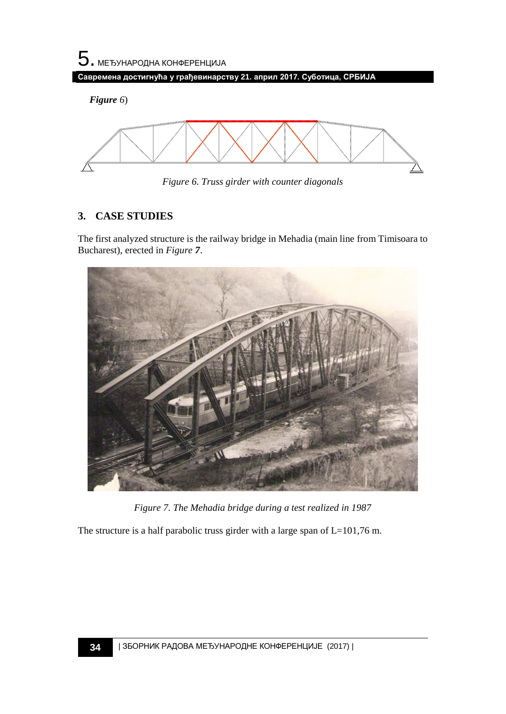*[Figure](#page-5-0) 6*)



<span id="page-5-0"></span>*Figure 6. Truss girder with counter diagonals*

## **3. CASE STUDIES**

The first analyzed structure is the railway bridge in Mehadia (main line from Timisoara to Bucharest), erected in *[Figure](#page-5-1) 7*.



*Figure 7. The Mehadia bridge during a test realized in 1987*

<span id="page-5-1"></span>The structure is a half parabolic truss girder with a large span of L=101,76 m.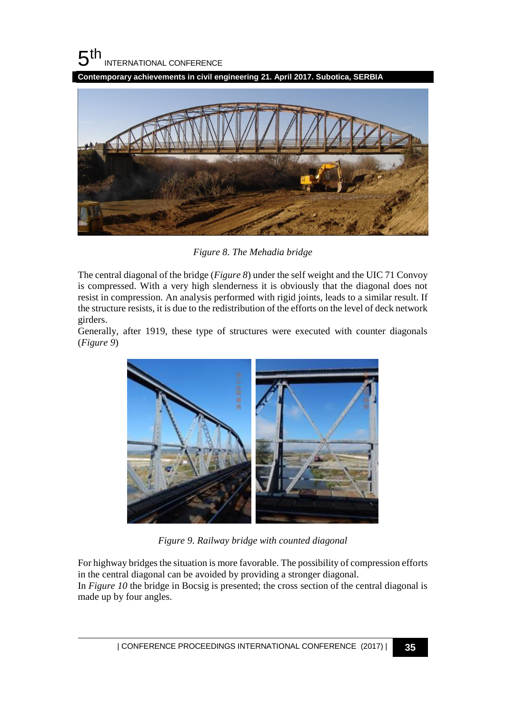$5<sup>th</sup>$ INTERNATIONAL CONFERENCE

**Contemporary achievements in civil engineering 21. April 2017. Subotica, SERBIA**



*Figure 8. The Mehadia bridge*

<span id="page-6-0"></span>The central diagonal of the bridge (*[Figure 8](#page-6-0)*) under the self weight and the UIC 71 Convoy is compressed. With a very high slenderness it is obviously that the diagonal does not resist in compression. An analysis performed with rigid joints, leads to a similar result. If the structure resists, it is due to the redistribution of the efforts on the level of deck network girders.

Generally, after 1919, these type of structures were executed with counter diagonals (*[Figure 9](#page-6-1)*)



*Figure 9. Railway bridge with counted diagonal*

<span id="page-6-1"></span>For highway bridges the situation is more favorable. The possibility of compression efforts in the central diagonal can be avoided by providing a stronger diagonal. In *[Figure 10](#page-7-0)* the bridge in Bocsig is presented; the cross section of the central diagonal is made up by four angles.